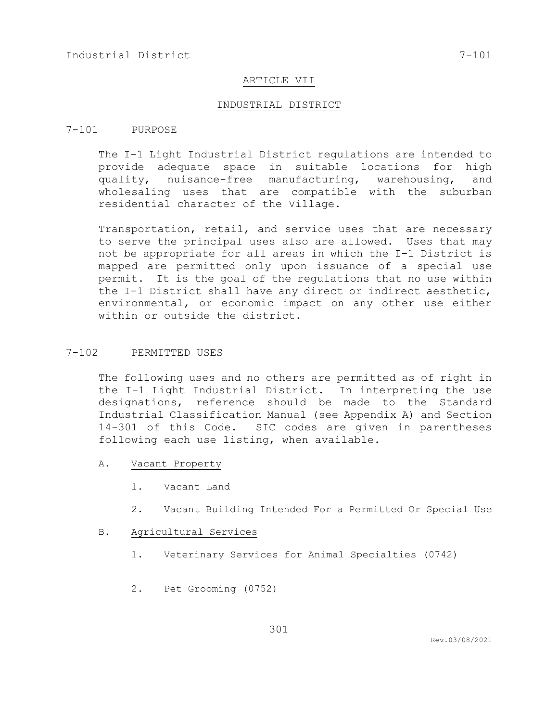# ARTICLE VII

#### INDUSTRIAL DISTRICT

# 7-101 PURPOSE

The I-1 Light Industrial District regulations are intended to provide adequate space in suitable locations for high quality, nuisance-free manufacturing, warehousing, and wholesaling uses that are compatible with the suburban residential character of the Village.

Transportation, retail, and service uses that are necessary to serve the principal uses also are allowed. Uses that may not be appropriate for all areas in which the I-1 District is mapped are permitted only upon issuance of a special use permit. It is the goal of the regulations that no use within the I-1 District shall have any direct or indirect aesthetic, environmental, or economic impact on any other use either within or outside the district.

# 7-102 PERMITTED USES

The following uses and no others are permitted as of right in the I-1 Light Industrial District. In interpreting the use designations, reference should be made to the Standard Industrial Classification Manual (see Appendix A) and Section 14-301 of this Code. SIC codes are given in parentheses following each use listing, when available.

- A. Vacant Property
	- 1. Vacant Land
	- 2. Vacant Building Intended For a Permitted Or Special Use

#### B. Agricultural Services

- 1. Veterinary Services for Animal Specialties (0742)
- 2. Pet Grooming (0752)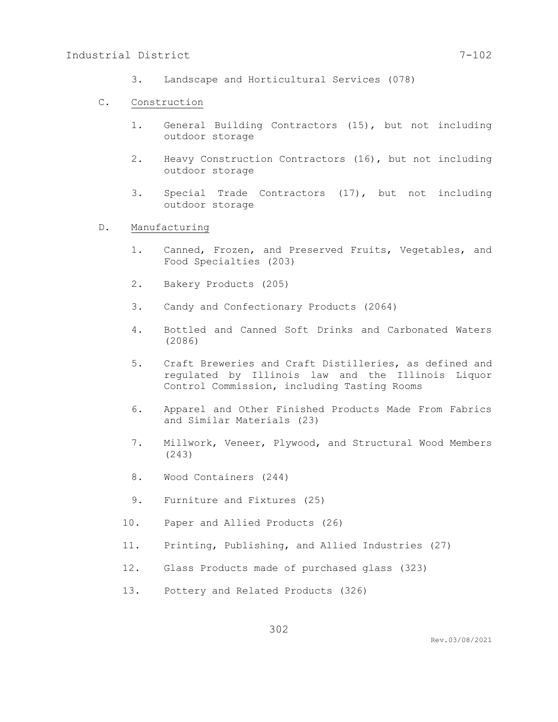3. Landscape and Horticultural Services (078)

### C. Construction

- 1. General Building Contractors (15), but not including outdoor storage
- 2. Heavy Construction Contractors (16), but not including outdoor storage
- 3. Special Trade Contractors (17), but not including outdoor storage
- D. Manufacturing
	- 1. Canned, Frozen, and Preserved Fruits, Vegetables, and Food Specialties (203)
	- 2. Bakery Products (205)
	- 3. Candy and Confectionary Products (2064)
	- 4. Bottled and Canned Soft Drinks and Carbonated Waters (2086)
	- 5. Craft Breweries and Craft Distilleries, as defined and regulated by Illinois law and the Illinois Liquor Control Commission, including Tasting Rooms
	- 6. Apparel and Other Finished Products Made From Fabrics and Similar Materials (23)
	- 7. Millwork, Veneer, Plywood, and Structural Wood Members (243)
	- 8. Wood Containers (244)
	- 9. Furniture and Fixtures (25)
	- 10. Paper and Allied Products (26)
	- 11. Printing, Publishing, and Allied Industries (27)
	- 12. Glass Products made of purchased glass (323)
	- 13. Pottery and Related Products (326)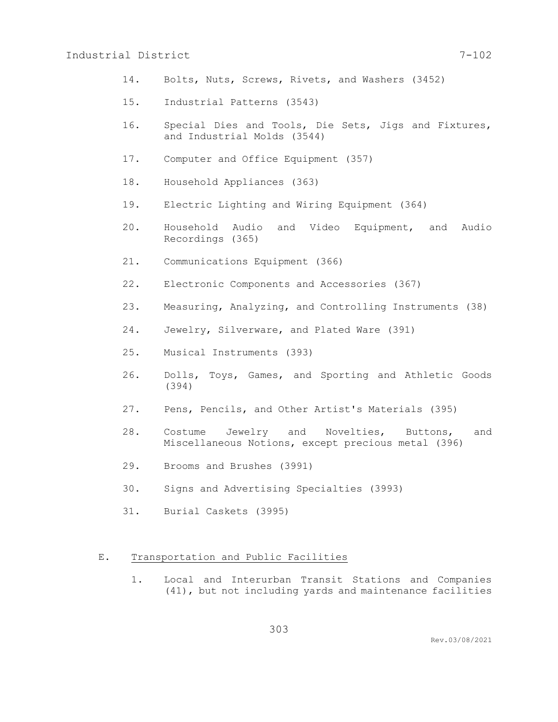# Industrial District 7-102

- 14. Bolts, Nuts, Screws, Rivets, and Washers (3452)
- 15. Industrial Patterns (3543)
- 16. Special Dies and Tools, Die Sets, Jigs and Fixtures, and Industrial Molds (3544)
- 17. Computer and Office Equipment (357)
- 18. Household Appliances (363)
- 19. Electric Lighting and Wiring Equipment (364)
- 20. Household Audio and Video Equipment, and Audio Recordings (365)
- 21. Communications Equipment (366)
- 22. Electronic Components and Accessories (367)
- 23. Measuring, Analyzing, and Controlling Instruments (38)
- 24. Jewelry, Silverware, and Plated Ware (391)
- 25. Musical Instruments (393)
- 26. Dolls, Toys, Games, and Sporting and Athletic Goods (394)
- 27. Pens, Pencils, and Other Artist's Materials (395)
- 28. Costume Jewelry and Novelties, Buttons, and Miscellaneous Notions, except precious metal (396)
- 29. Brooms and Brushes (3991)
- 30. Signs and Advertising Specialties (3993)
- 31. Burial Caskets (3995)

### E. Transportation and Public Facilities

1. Local and Interurban Transit Stations and Companies (41), but not including yards and maintenance facilities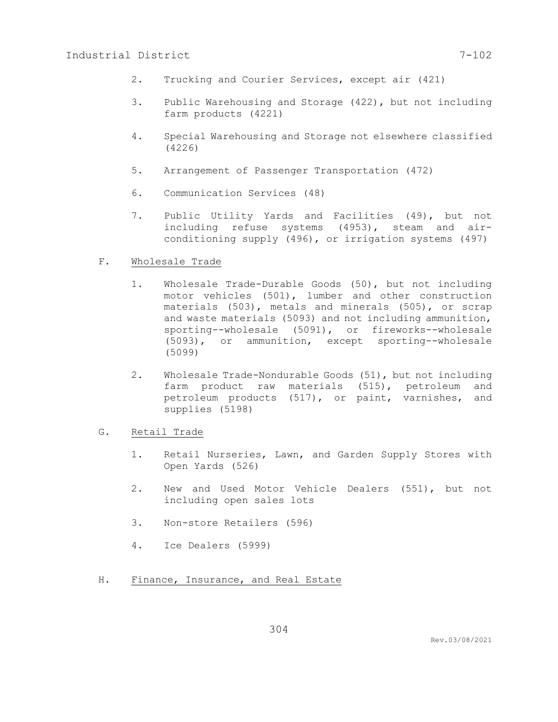- 2. Trucking and Courier Services, except air (421)
- 3. Public Warehousing and Storage (422), but not including farm products (4221)
- 4. Special Warehousing and Storage not elsewhere classified (4226)
- 5. Arrangement of Passenger Transportation (472)
- 6. Communication Services (48)
- 7. Public Utility Yards and Facilities (49), but not including refuse systems (4953), steam and airconditioning supply (496), or irrigation systems (497)
- F. Wholesale Trade
	- 1. Wholesale Trade-Durable Goods (50), but not including motor vehicles (501), lumber and other construction materials (503), metals and minerals (505), or scrap and waste materials (5093) and not including ammunition, sporting--wholesale (5091), or fireworks--wholesale (5093), or ammunition, except sporting--wholesale (5099)
	- 2. Wholesale Trade-Nondurable Goods (51), but not including farm product raw materials (515), petroleum and petroleum products (517), or paint, varnishes, and supplies (5198)
- G. Retail Trade
	- 1. Retail Nurseries, Lawn, and Garden Supply Stores with Open Yards (526)
	- 2. New and Used Motor Vehicle Dealers (551), but not including open sales lots
	- 3. Non-store Retailers (596)
	- 4. Ice Dealers (5999)
- H. Finance, Insurance, and Real Estate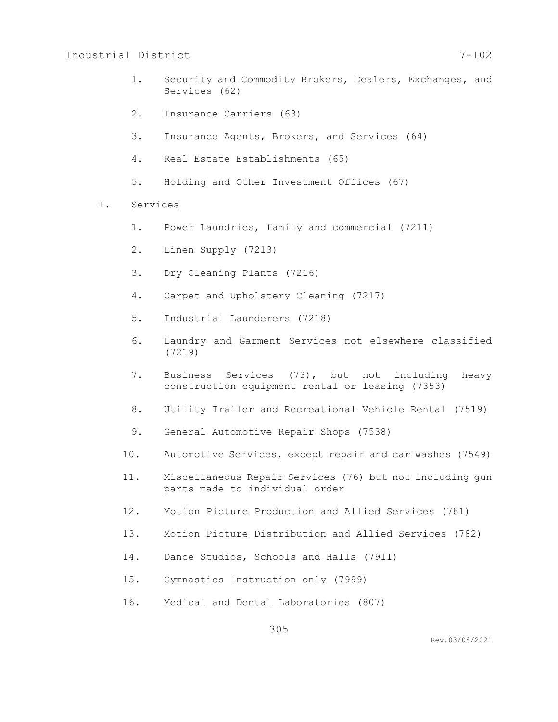# Industrial District 7-102

- 1. Security and Commodity Brokers, Dealers, Exchanges, and Services (62)
- 2. Insurance Carriers (63)
- 3. Insurance Agents, Brokers, and Services (64)
- 4. Real Estate Establishments (65)
- 5. Holding and Other Investment Offices (67)
- I. Services
	- 1. Power Laundries, family and commercial (7211)
	- 2. Linen Supply (7213)
	- 3. Dry Cleaning Plants (7216)
	- 4. Carpet and Upholstery Cleaning (7217)
	- 5. Industrial Launderers (7218)
	- 6. Laundry and Garment Services not elsewhere classified (7219)
	- 7. Business Services (73), but not including heavy construction equipment rental or leasing (7353)
	- 8. Utility Trailer and Recreational Vehicle Rental (7519)
	- 9. General Automotive Repair Shops (7538)
	- 10. Automotive Services, except repair and car washes (7549)
	- 11. Miscellaneous Repair Services (76) but not including gun parts made to individual order
	- 12. Motion Picture Production and Allied Services (781)
	- 13. Motion Picture Distribution and Allied Services (782)
	- 14. Dance Studios, Schools and Halls (7911)
	- 15. Gymnastics Instruction only (7999)
	- 16. Medical and Dental Laboratories (807)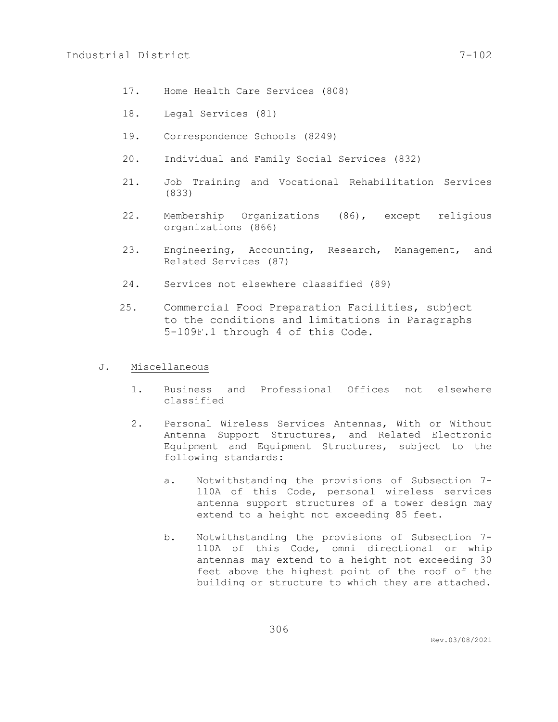- 17. Home Health Care Services (808)
- 18. Legal Services (81)
- 19. Correspondence Schools (8249)
- 20. Individual and Family Social Services (832)
- 21. Job Training and Vocational Rehabilitation Services (833)
- 22. Membership Organizations (86), except religious organizations (866)
- 23. Engineering, Accounting, Research, Management, and Related Services (87)
- 24. Services not elsewhere classified (89)
- 25. Commercial Food Preparation Facilities, subject to the conditions and limitations in Paragraphs 5-109F.1 through 4 of this Code.

# J. Miscellaneous

- 1. Business and Professional Offices not elsewhere classified
- 2. Personal Wireless Services Antennas, With or Without Antenna Support Structures, and Related Electronic Equipment and Equipment Structures, subject to the following standards:
	- a. Notwithstanding the provisions of Subsection 7- 110A of this Code, personal wireless services antenna support structures of a tower design may extend to a height not exceeding 85 feet.
	- b. Notwithstanding the provisions of Subsection 7- 110A of this Code, omni directional or whip antennas may extend to a height not exceeding 30 feet above the highest point of the roof of the building or structure to which they are attached.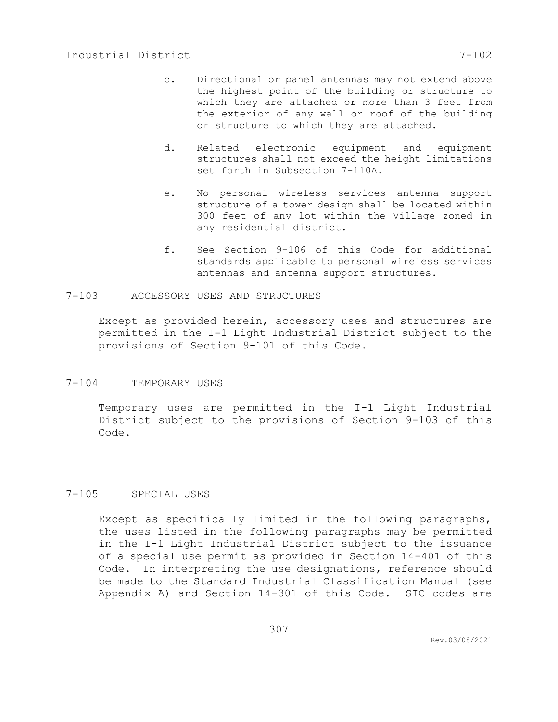- d. Related electronic equipment and equipment structures shall not exceed the height limitations set forth in Subsection 7-110A.
- e. No personal wireless services antenna support structure of a tower design shall be located within 300 feet of any lot within the Village zoned in any residential district.
- f. See Section 9-106 of this Code for additional standards applicable to personal wireless services antennas and antenna support structures.

# 7-103 ACCESSORY USES AND STRUCTURES

Except as provided herein, accessory uses and structures are permitted in the I-1 Light Industrial District subject to the provisions of Section 9-101 of this Code.

# 7-104 TEMPORARY USES

Temporary uses are permitted in the I-1 Light Industrial District subject to the provisions of Section 9-103 of this Code.

# 7-105 SPECIAL USES

Except as specifically limited in the following paragraphs, the uses listed in the following paragraphs may be permitted in the I-1 Light Industrial District subject to the issuance of a special use permit as provided in Section 14-401 of this Code. In interpreting the use designations, reference should be made to the Standard Industrial Classification Manual (see Appendix A) and Section 14-301 of this Code. SIC codes are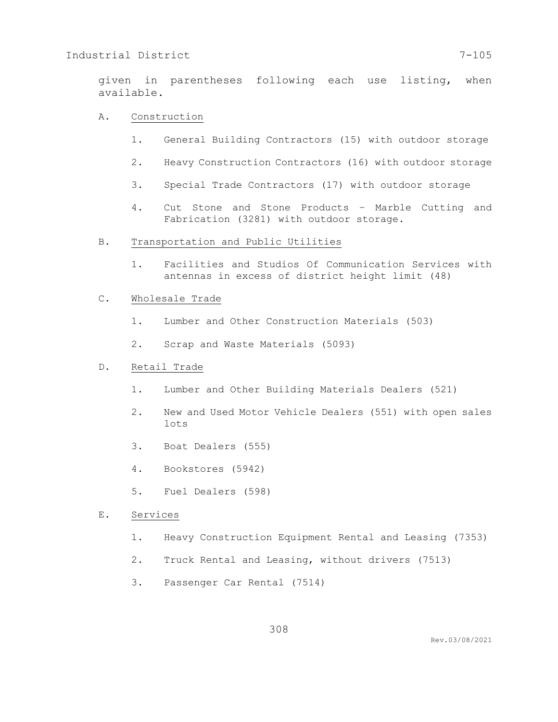given in parentheses following each use listing, when available.

### A. Construction

- 1. General Building Contractors (15) with outdoor storage
- 2. Heavy Construction Contractors (16) with outdoor storage
- 3. Special Trade Contractors (17) with outdoor storage
- 4. Cut Stone and Stone Products Marble Cutting and Fabrication (3281) with outdoor storage.

#### B. Transportation and Public Utilities

1. Facilities and Studios Of Communication Services with antennas in excess of district height limit (48)

### C. Wholesale Trade

- 1. Lumber and Other Construction Materials (503)
- 2. Scrap and Waste Materials (5093)

### D. Retail Trade

- 1. Lumber and Other Building Materials Dealers (521)
- 2. New and Used Motor Vehicle Dealers (551) with open sales lots
- 3. Boat Dealers (555)
- 4. Bookstores (5942)
- 5. Fuel Dealers (598)
- E. Services
	- 1. Heavy Construction Equipment Rental and Leasing (7353)
	- 2. Truck Rental and Leasing, without drivers (7513)
	- 3. Passenger Car Rental (7514)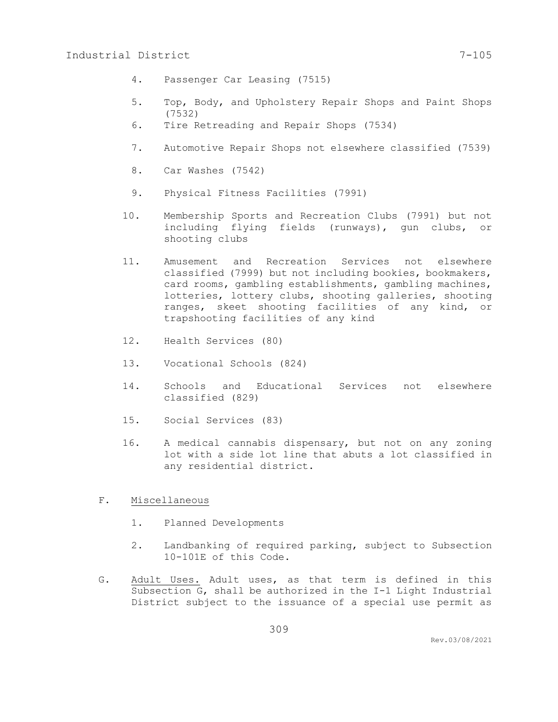- 4. Passenger Car Leasing (7515)
- 5. Top, Body, and Upholstery Repair Shops and Paint Shops (7532)
- 6. Tire Retreading and Repair Shops (7534)
- 7. Automotive Repair Shops not elsewhere classified (7539)
- 8. Car Washes (7542)
- 9. Physical Fitness Facilities (7991)
- 10. Membership Sports and Recreation Clubs (7991) but not including flying fields (runways), gun clubs, or shooting clubs
- 11. Amusement and Recreation Services not elsewhere classified (7999) but not including bookies, bookmakers, card rooms, gambling establishments, gambling machines, lotteries, lottery clubs, shooting galleries, shooting ranges, skeet shooting facilities of any kind, or trapshooting facilities of any kind
- 12. Health Services (80)
- 13. Vocational Schools (824)
- 14. Schools and Educational Services not elsewhere classified (829)
- 15. Social Services (83)
- 16. A medical cannabis dispensary, but not on any zoning lot with a side lot line that abuts a lot classified in any residential district.
- F. Miscellaneous
	- 1. Planned Developments
	- 2. Landbanking of required parking, subject to Subsection 10-101E of this Code.
- G. Adult Uses. Adult uses, as that term is defined in this Subsection G, shall be authorized in the I-1 Light Industrial District subject to the issuance of a special use permit as

309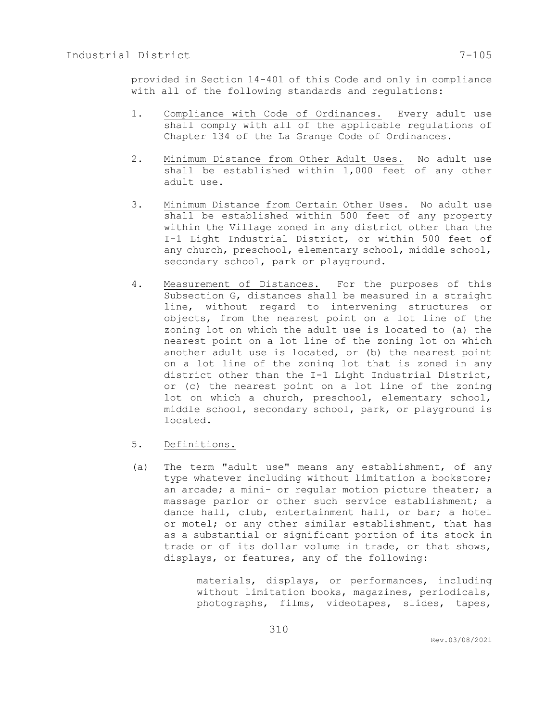provided in Section 14-401 of this Code and only in compliance with all of the following standards and regulations:

- 1. Compliance with Code of Ordinances. Every adult use shall comply with all of the applicable regulations of Chapter 134 of the La Grange Code of Ordinances.
- 2. Minimum Distance from Other Adult Uses. No adult use shall be established within 1,000 feet of any other adult use.
- 3. Minimum Distance from Certain Other Uses. No adult use shall be established within 500 feet of any property within the Village zoned in any district other than the I-1 Light Industrial District, or within 500 feet of any church, preschool, elementary school, middle school, secondary school, park or playground.
- 4. Measurement of Distances. For the purposes of this Subsection G, distances shall be measured in a straight line, without regard to intervening structures or objects, from the nearest point on a lot line of the zoning lot on which the adult use is located to (a) the nearest point on a lot line of the zoning lot on which another adult use is located, or (b) the nearest point on a lot line of the zoning lot that is zoned in any district other than the I-1 Light Industrial District, or (c) the nearest point on a lot line of the zoning lot on which a church, preschool, elementary school, middle school, secondary school, park, or playground is located.
- 5. Definitions.
- (a) The term "adult use" means any establishment, of any type whatever including without limitation a bookstore; an arcade; a mini- or regular motion picture theater; a massage parlor or other such service establishment; a dance hall, club, entertainment hall, or bar; a hotel or motel; or any other similar establishment, that has as a substantial or significant portion of its stock in trade or of its dollar volume in trade, or that shows, displays, or features, any of the following:

materials, displays, or performances, including without limitation books, magazines, periodicals, photographs, films, videotapes, slides, tapes,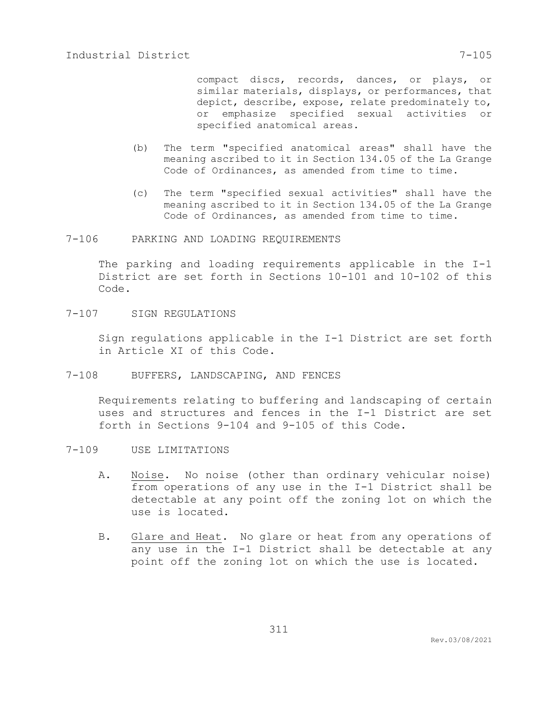compact discs, records, dances, or plays, or similar materials, displays, or performances, that depict, describe, expose, relate predominately to, or emphasize specified sexual activities or specified anatomical areas.

- (b) The term "specified anatomical areas" shall have the meaning ascribed to it in Section 134.05 of the La Grange Code of Ordinances, as amended from time to time.
- (c) The term "specified sexual activities" shall have the meaning ascribed to it in Section 134.05 of the La Grange Code of Ordinances, as amended from time to time.
- 7-106 PARKING AND LOADING REQUIREMENTS

The parking and loading requirements applicable in the I-1 District are set forth in Sections 10-101 and 10-102 of this Code.

7-107 SIGN REGULATIONS

Sign regulations applicable in the I-1 District are set forth in Article XI of this Code.

7-108 BUFFERS, LANDSCAPING, AND FENCES

Requirements relating to buffering and landscaping of certain uses and structures and fences in the I-1 District are set forth in Sections 9-104 and 9-105 of this Code.

- 7-109 USE LIMITATIONS
	- A. Noise. No noise (other than ordinary vehicular noise) from operations of any use in the I-1 District shall be detectable at any point off the zoning lot on which the use is located.
	- B. Glare and Heat. No glare or heat from any operations of any use in the I-1 District shall be detectable at any point off the zoning lot on which the use is located.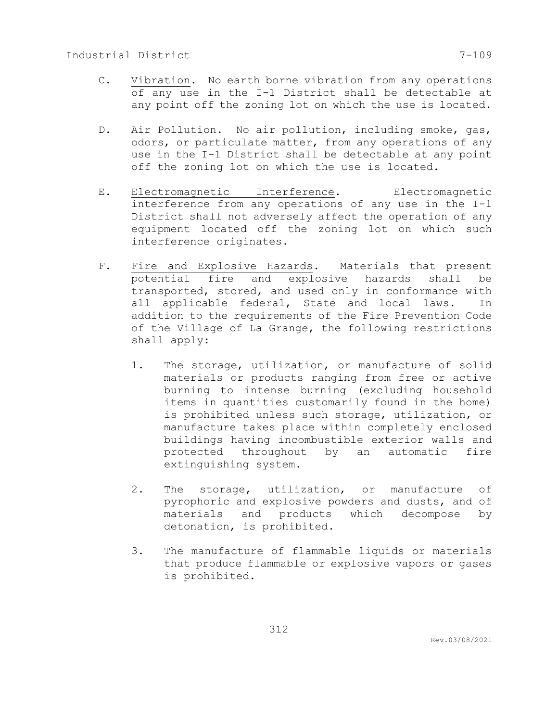- C. Vibration. No earth borne vibration from any operations of any use in the I-1 District shall be detectable at any point off the zoning lot on which the use is located.
- D. Air Pollution. No air pollution, including smoke, gas, odors, or particulate matter, from any operations of any use in the I-1 District shall be detectable at any point off the zoning lot on which the use is located.
- E. Electromagnetic Interference. Electromagnetic interference from any operations of any use in the I-1 District shall not adversely affect the operation of any equipment located off the zoning lot on which such interference originates.
- F. Fire and Explosive Hazards. Materials that present potential fire and explosive hazards shall be transported, stored, and used only in conformance with all applicable federal, State and local laws. In addition to the requirements of the Fire Prevention Code of the Village of La Grange, the following restrictions shall apply:
	- 1. The storage, utilization, or manufacture of solid materials or products ranging from free or active burning to intense burning (excluding household items in quantities customarily found in the home) is prohibited unless such storage, utilization, or manufacture takes place within completely enclosed buildings having incombustible exterior walls and protected throughout by an automatic fire extinguishing system.
	- 2. The storage, utilization, or manufacture of pyrophoric and explosive powders and dusts, and of materials and products which decompose by detonation, is prohibited.
	- 3. The manufacture of flammable liquids or materials that produce flammable or explosive vapors or gases is prohibited.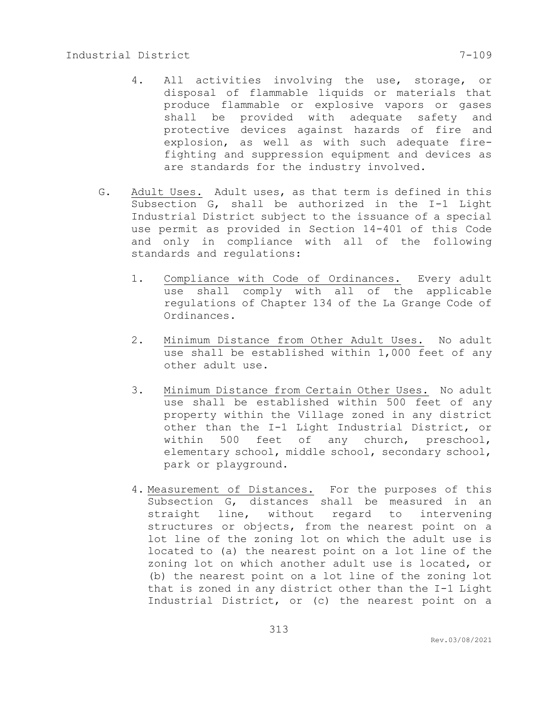- 4. All activities involving the use, storage, or disposal of flammable liquids or materials that produce flammable or explosive vapors or gases shall be provided with adequate safety and protective devices against hazards of fire and explosion, as well as with such adequate firefighting and suppression equipment and devices as are standards for the industry involved.
- G. Adult Uses. Adult uses, as that term is defined in this Subsection G, shall be authorized in the I-1 Light Industrial District subject to the issuance of a special use permit as provided in Section 14-401 of this Code and only in compliance with all of the following standards and regulations:
	- 1. Compliance with Code of Ordinances. Every adult use shall comply with all of the applicable regulations of Chapter 134 of the La Grange Code of Ordinances.
	- 2. Minimum Distance from Other Adult Uses. No adult use shall be established within 1,000 feet of any other adult use.
	- 3. Minimum Distance from Certain Other Uses. No adult use shall be established within 500 feet of any property within the Village zoned in any district other than the I-1 Light Industrial District, or within 500 feet of any church, preschool, elementary school, middle school, secondary school, park or playground.
	- 4. Measurement of Distances. For the purposes of this Subsection G, distances shall be measured in an straight line, without regard to intervening structures or objects, from the nearest point on a lot line of the zoning lot on which the adult use is located to (a) the nearest point on a lot line of the zoning lot on which another adult use is located, or (b) the nearest point on a lot line of the zoning lot that is zoned in any district other than the I-1 Light Industrial District, or (c) the nearest point on a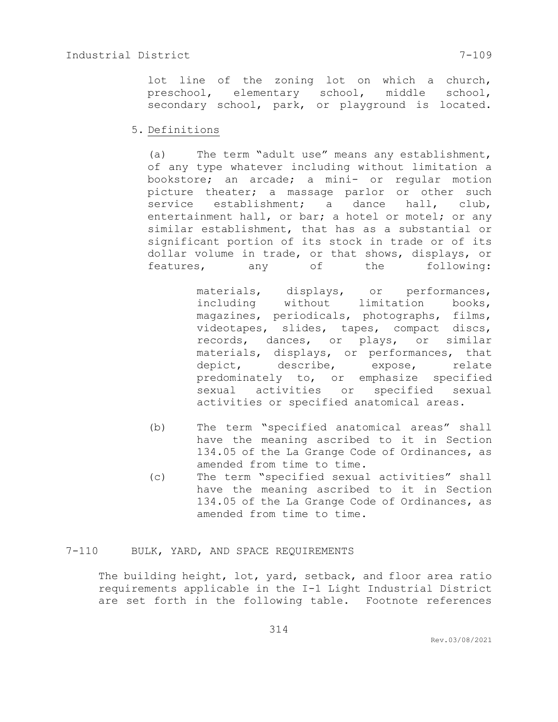lot line of the zoning lot on which a church, preschool, elementary school, middle school, secondary school, park, or playground is located.

### 5. Definitions

(a) The term "adult use" means any establishment, of any type whatever including without limitation a bookstore; an arcade; a mini- or regular motion picture theater; a massage parlor or other such service establishment; a dance hall, club, entertainment hall, or bar; a hotel or motel; or any similar establishment, that has as a substantial or significant portion of its stock in trade or of its dollar volume in trade, or that shows, displays, or features, any of the following:

> materials, displays, or performances, including without limitation books, magazines, periodicals, photographs, films, videotapes, slides, tapes, compact discs, records, dances, or plays, or similar materials, displays, or performances, that depict, describe, expose, relate predominately to, or emphasize specified sexual activities or specified sexual activities or specified anatomical areas.

- (b) The term "specified anatomical areas" shall have the meaning ascribed to it in Section 134.05 of the La Grange Code of Ordinances, as amended from time to time.
- (c) The term "specified sexual activities" shall have the meaning ascribed to it in Section 134.05 of the La Grange Code of Ordinances, as amended from time to time.

# 7-110 BULK, YARD, AND SPACE REQUIREMENTS

The building height, lot, yard, setback, and floor area ratio requirements applicable in the I-1 Light Industrial District are set forth in the following table. Footnote references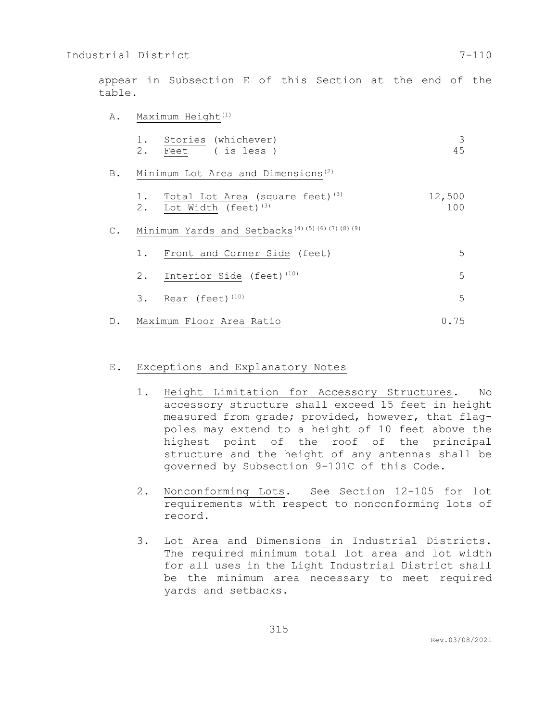appear in Subsection E of this Section at the end of the table.

A. Maximum Height<sup>(1)</sup>

|  | 1. Stories (whichever) |    |
|--|------------------------|----|
|  | 2. Feet (isless)       | 45 |

B. Minimum Lot Area and Dimensions<sup>(2)</sup>

| 1. |                                 | Total Lot Area (square feet) <sup>(3)</sup> | 12,500 |
|----|---------------------------------|---------------------------------------------|--------|
| 2. | Lot Width (feet) <sup>(3)</sup> |                                             | 100    |

C. Minimum Yards and Setbacks<sup>(4)(5)(6)(7)(8)(9)</sup>

| 1. Front and Corner Side (feet)         |  |
|-----------------------------------------|--|
| 2. Interior Side (feet) <sup>(10)</sup> |  |
| 3. Rear (feet) $(10)$                   |  |

D. Maximum Floor Area Ratio 0.75

### E. Exceptions and Explanatory Notes

- 1. Height Limitation for Accessory Structures. No accessory structure shall exceed 15 feet in height measured from grade; provided, however, that flagpoles may extend to a height of 10 feet above the highest point of the roof of the principal structure and the height of any antennas shall be governed by Subsection 9-101C of this Code.
- 2. Nonconforming Lots. See Section 12-105 for lot requirements with respect to nonconforming lots of record.
- 3. Lot Area and Dimensions in Industrial Districts. The required minimum total lot area and lot width for all uses in the Light Industrial District shall be the minimum area necessary to meet required yards and setbacks.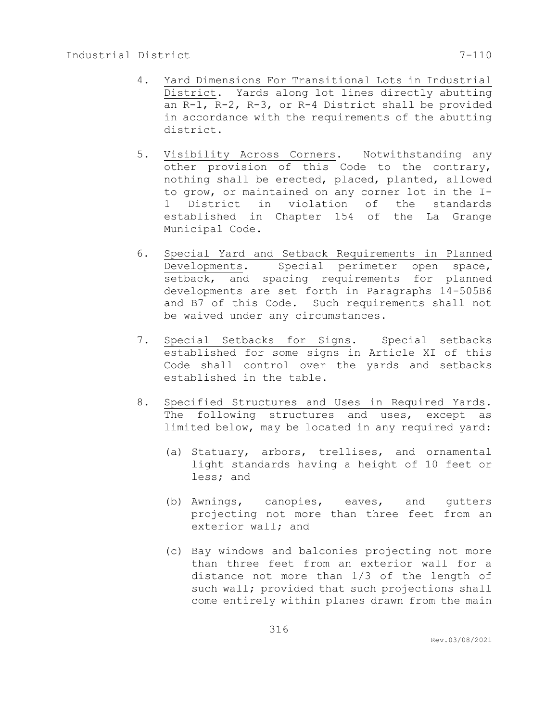- 4. Yard Dimensions For Transitional Lots in Industrial District. Yards along lot lines directly abutting an R-1, R-2, R-3, or R-4 District shall be provided in accordance with the requirements of the abutting district.
- 5. Visibility Across Corners. Notwithstanding any other provision of this Code to the contrary, nothing shall be erected, placed, planted, allowed to grow, or maintained on any corner lot in the I-1 District in violation of the standards established in Chapter 154 of the La Grange Municipal Code.
- 6. Special Yard and Setback Requirements in Planned Developments. Special perimeter open space, setback, and spacing requirements for planned developments are set forth in Paragraphs 14-505B6 and B7 of this Code. Such requirements shall not be waived under any circumstances.
- 7. Special Setbacks for Signs. Special setbacks established for some signs in Article XI of this Code shall control over the yards and setbacks established in the table.
- 8. Specified Structures and Uses in Required Yards. The following structures and uses, except as limited below, may be located in any required yard:
	- (a) Statuary, arbors, trellises, and ornamental light standards having a height of 10 feet or less; and
	- (b) Awnings, canopies, eaves, and gutters projecting not more than three feet from an exterior wall; and
	- (c) Bay windows and balconies projecting not more than three feet from an exterior wall for a distance not more than 1/3 of the length of such wall; provided that such projections shall come entirely within planes drawn from the main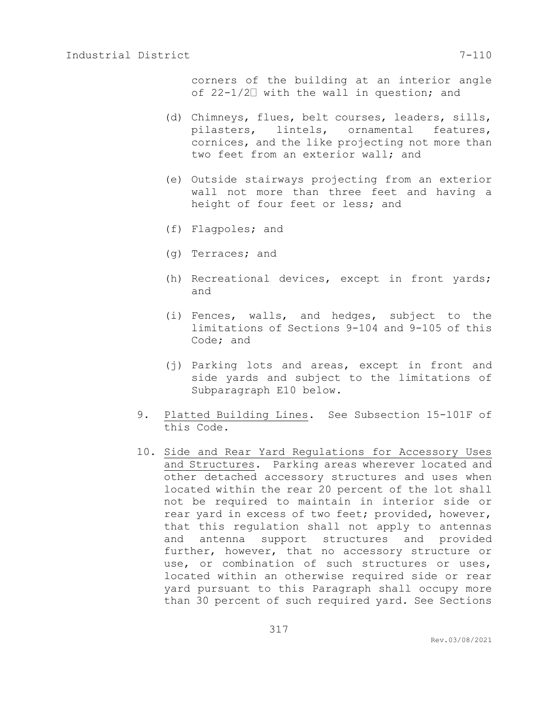corners of the building at an interior angle of  $22-1/2$  with the wall in question; and

- (d) Chimneys, flues, belt courses, leaders, sills, pilasters, lintels, ornamental features, cornices, and the like projecting not more than two feet from an exterior wall; and
- (e) Outside stairways projecting from an exterior wall not more than three feet and having a height of four feet or less; and
- (f) Flagpoles; and
- (g) Terraces; and
- (h) Recreational devices, except in front yards; and
- (i) Fences, walls, and hedges, subject to the limitations of Sections 9-104 and 9-105 of this Code; and
- (j) Parking lots and areas, except in front and side yards and subject to the limitations of Subparagraph E10 below.
- 9. Platted Building Lines. See Subsection 15-101F of this Code.
- 10. Side and Rear Yard Regulations for Accessory Uses and Structures. Parking areas wherever located and other detached accessory structures and uses when located within the rear 20 percent of the lot shall not be required to maintain in interior side or rear yard in excess of two feet; provided, however, that this regulation shall not apply to antennas and antenna support structures and provided further, however, that no accessory structure or use, or combination of such structures or uses, located within an otherwise required side or rear yard pursuant to this Paragraph shall occupy more than 30 percent of such required yard. See Sections